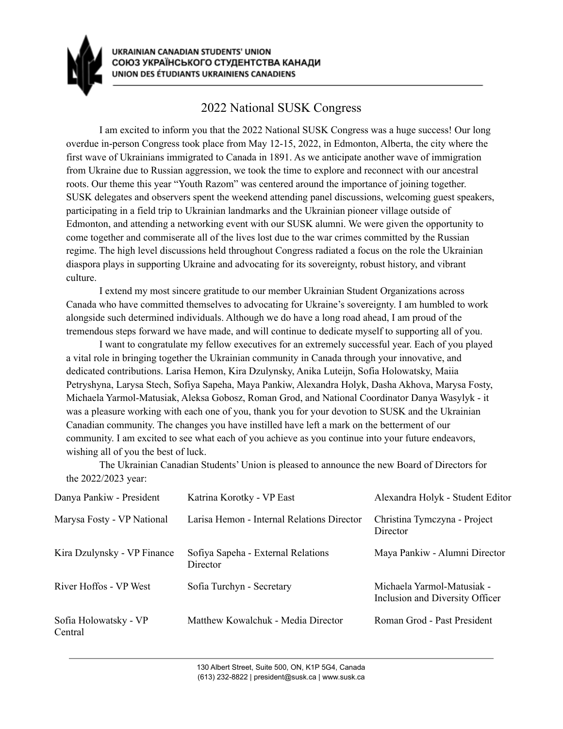

## 2022 National SUSK Congress

I am excited to inform you that the 2022 National SUSK Congress was a huge success! Our long overdue in-person Congress took place from May 12-15, 2022, in Edmonton, Alberta, the city where the first wave of Ukrainians immigrated to Canada in 1891. As we anticipate another wave of immigration from Ukraine due to Russian aggression, we took the time to explore and reconnect with our ancestral roots. Our theme this year "Youth Razom" was centered around the importance of joining together. SUSK delegates and observers spent the weekend attending panel discussions, welcoming guest speakers, participating in a field trip to Ukrainian landmarks and the Ukrainian pioneer village outside of Edmonton, and attending a networking event with our SUSK alumni. We were given the opportunity to come together and commiserate all of the lives lost due to the war crimes committed by the Russian regime. The high level discussions held throughout Congress radiated a focus on the role the Ukrainian diaspora plays in supporting Ukraine and advocating for its sovereignty, robust history, and vibrant culture.

I extend my most sincere gratitude to our member Ukrainian Student Organizations across Canada who have committed themselves to advocating for Ukraine's sovereignty. I am humbled to work alongside such determined individuals. Although we do have a long road ahead, I am proud of the tremendous steps forward we have made, and will continue to dedicate myself to supporting all of you.

I want to congratulate my fellow executives for an extremely successful year. Each of you played a vital role in bringing together the Ukrainian community in Canada through your innovative, and dedicated contributions. Larisa Hemon, Kira Dzulynsky, Anika Luteijn, Sofia Holowatsky, Maiia Petryshyna, Larysa Stech, Sofiya Sapeha, Maya Pankiw, Alexandra Holyk, Dasha Akhova, Marysa Fosty, Michaela Yarmol-Matusiak, Aleksa Gobosz, Roman Grod, and National Coordinator Danya Wasylyk - it was a pleasure working with each one of you, thank you for your devotion to SUSK and the Ukrainian Canadian community. The changes you have instilled have left a mark on the betterment of our community. I am excited to see what each of you achieve as you continue into your future endeavors, wishing all of you the best of luck.

The Ukrainian Canadian Students' Union is pleased to announce the new Board of Directors for the 2022/2023 year:

| Danya Pankiw - President         | Katrina Korotky - VP East                      | Alexandra Holyk - Student Editor                              |
|----------------------------------|------------------------------------------------|---------------------------------------------------------------|
| Marysa Fosty - VP National       | Larisa Hemon - Internal Relations Director     | Christina Tymczyna - Project<br>Director                      |
| Kira Dzulynsky - VP Finance      | Sofiya Sapeha - External Relations<br>Director | Maya Pankiw - Alumni Director                                 |
| River Hoffos - VP West           | Sofia Turchyn - Secretary                      | Michaela Yarmol-Matusiak -<br>Inclusion and Diversity Officer |
| Sofia Holowatsky - VP<br>Central | Matthew Kowalchuk - Media Director             | Roman Grod - Past President                                   |